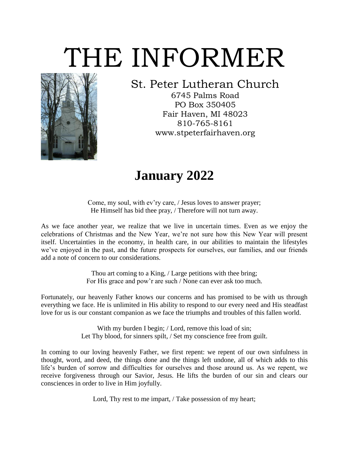# THE INFORMER



### St. Peter Lutheran Church

6745 Palms Road PO Box 350405 Fair Haven, MI 48023 810-765-8161 www.stpeterfairhaven.org

### **January 2022**

Come, my soul, with ev'ry care, / Jesus loves to answer prayer; He Himself has bid thee pray, / Therefore will not turn away.

As we face another year, we realize that we live in uncertain times. Even as we enjoy the celebrations of Christmas and the New Year, we're not sure how this New Year will present itself. Uncertainties in the economy, in health care, in our abilities to maintain the lifestyles we've enjoyed in the past, and the future prospects for ourselves, our families, and our friends add a note of concern to our considerations.

> Thou art coming to a King, / Large petitions with thee bring; For His grace and pow'r are such / None can ever ask too much.

Fortunately, our heavenly Father knows our concerns and has promised to be with us through everything we face. He is unlimited in His ability to respond to our every need and His steadfast love for us is our constant companion as we face the triumphs and troubles of this fallen world.

> With my burden I begin; / Lord, remove this load of sin; Let Thy blood, for sinners spilt, / Set my conscience free from guilt.

In coming to our loving heavenly Father, we first repent: we repent of our own sinfulness in thought, word, and deed, the things done and the things left undone, all of which adds to this life's burden of sorrow and difficulties for ourselves and those around us. As we repent, we receive forgiveness through our Savior, Jesus. He lifts the burden of our sin and clears our consciences in order to live in Him joyfully.

Lord, Thy rest to me impart, / Take possession of my heart;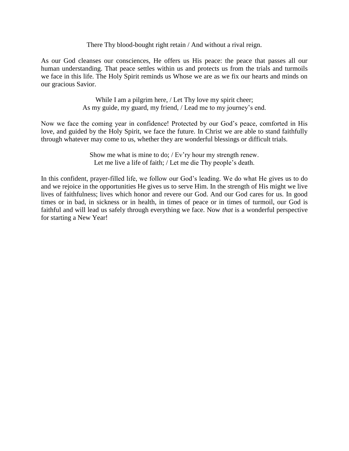There Thy blood-bought right retain / And without a rival reign.

As our God cleanses our consciences, He offers us His peace: the peace that passes all our human understanding. That peace settles within us and protects us from the trials and turmoils we face in this life. The Holy Spirit reminds us Whose we are as we fix our hearts and minds on our gracious Savior.

> While I am a pilgrim here, / Let Thy love my spirit cheer; As my guide, my guard, my friend, / Lead me to my journey's end.

Now we face the coming year in confidence! Protected by our God's peace, comforted in His love, and guided by the Holy Spirit, we face the future. In Christ we are able to stand faithfully through whatever may come to us, whether they are wonderful blessings or difficult trials.

> Show me what is mine to do; / Ev'ry hour my strength renew. Let me live a life of faith; / Let me die Thy people's death.

In this confident, prayer-filled life, we follow our God's leading. We do what He gives us to do and we rejoice in the opportunities He gives us to serve Him. In the strength of His might we live lives of faithfulness; lives which honor and revere our God. And our God cares for us. In good times or in bad, in sickness or in health, in times of peace or in times of turmoil, our God is faithful and will lead us safely through everything we face. Now *that* is a wonderful perspective for starting a New Year!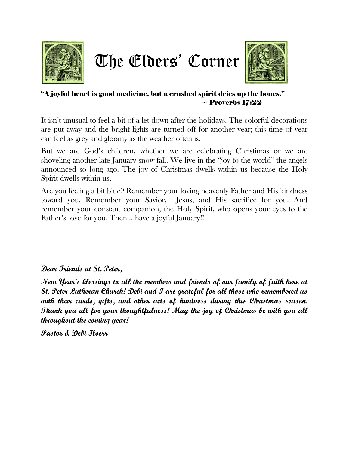





#### "A joyful heart is good medicine, but a crushed spirit dries up the bones."  $\sim$  Proverbs 17:22

It isn't unusual to feel a bit of a let down after the holidays. The colorful decorations are put away and the bright lights are turned off for another year; this time of year can feel as grey and gloomy as the weather often is.

But we are God's children, whether we are celebrating Christimas or we are shoveling another late January snow fall. We live in the "joy to the world" the angels announced so long ago. The joy of Christmas dwells within us because the Holy Spirit dwells within us.

Are you feeling a bit blue? Remember your loving heavenly Father and His kindness toward you. Remember your Savior, Jesus, and His sacrifice for you. And remember your constant companion, the Holy Spirit, who opens your eyes to the Father's love for you. Then… have a joyful January!!

**Dear Friends at St. Peter,** 

**New Year's blessings to all the members and friends of our family of faith here at St. Peter Lutheran Church! Debi and I are grateful for all those who remembered us with their cards, gifts, and other acts of kindness during this Christmas season. Thank you all for your thoughtfulness! May the joy of Christmas be with you all throughout the coming year!**

**Pastor & Debi Hoerr**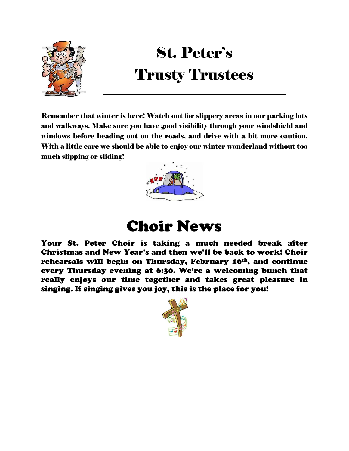

## St. Peter's Trusty Trustees

Remember that winter is here! Watch out for slippery areas in our parking lots and walkways. Make sure you have good visibility through your windshield and windows before heading out on the roads, and drive with a bit more caution. With a little care we should be able to enjoy our winter wonderland without too much slipping or sliding!



### Choir News

Your St. Peter Choir is taking a much needed break after Christmas and New Year's and then we'll be back to work! Choir rehearsals will begin on Thursday, February 10<sup>th</sup>, and continue every Thursday evening at 6:30. We're a welcoming bunch that really enjoys our time together and takes great pleasure in singing. If singing gives you joy, this is the place for you!

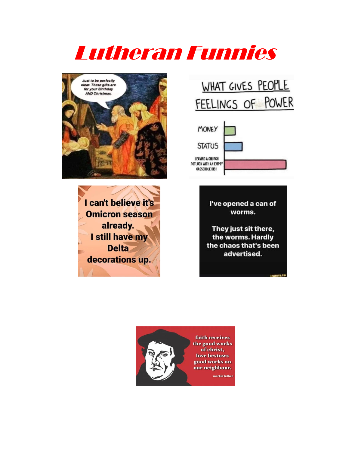# Lutheran Funnies



I can't believe it's **Omicron season** already. I still have my **Delta** decorations up.

### WHAT GIVES PEOPLE FEELINGS OF POWER



I've opened a can of worms.

They just sit there, the worms. Hardly the chaos that's been advertised.

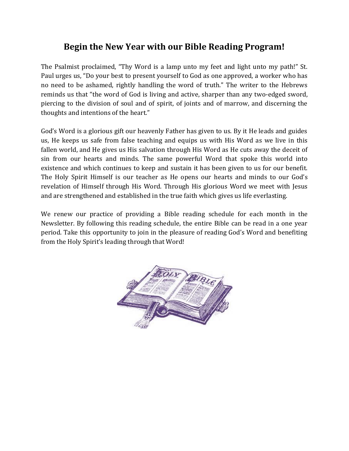### **Begin the New Year with our Bible Reading Program!**

The Psalmist proclaimed, "Thy Word is a lamp unto my feet and light unto my path!" St. Paul urges us, "Do your best to present yourself to God as one approved, a worker who has no need to be ashamed, rightly handling the word of truth." The writer to the Hebrews reminds us that "the word of God is living and active, sharper than any two-edged sword, piercing to the division of soul and of spirit, of joints and of marrow, and discerning the thoughts and intentions of the heart."

God's Word is a glorious gift our heavenly Father has given to us. By it He leads and guides us, He keeps us safe from false teaching and equips us with His Word as we live in this fallen world, and He gives us His salvation through His Word as He cuts away the deceit of sin from our hearts and minds. The same powerful Word that spoke this world into existence and which continues to keep and sustain it has been given to us for our benefit. The Holy Spirit Himself is our teacher as He opens our hearts and minds to our God's revelation of Himself through His Word. Through His glorious Word we meet with Jesus and are strengthened and established in the true faith which gives us life everlasting.

We renew our practice of providing a Bible reading schedule for each month in the Newsletter. By following this reading schedule, the entire Bible can be read in a one year period. Take this opportunity to join in the pleasure of reading God's Word and benefiting from the Holy Spirit's leading through that Word!

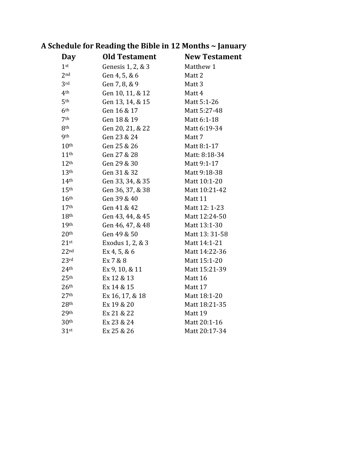| <b>Day</b>       | <b>Old Testament</b> | <b>New Testament</b> |
|------------------|----------------------|----------------------|
| 1 <sup>st</sup>  | Genesis 1, 2, & 3    | Matthew 1            |
| 2 <sub>nd</sub>  | Gen 4, 5, & 6        | Matt 2               |
| 3rd              | Gen 7, 8, & 9        | Matt <sub>3</sub>    |
| 4 <sup>th</sup>  | Gen 10, 11, & 12     | Matt 4               |
| 5 <sup>th</sup>  | Gen 13, 14, & 15     | Matt 5:1-26          |
| 6 <sup>th</sup>  | Gen 16 & 17          | Matt 5:27-48         |
| 7 <sup>th</sup>  | Gen 18 & 19          | Matt 6:1-18          |
| 8 <sup>th</sup>  | Gen 20, 21, & 22     | Matt 6:19-34         |
| <b>9th</b>       | Gen 23 & 24          | Matt 7               |
| 10 <sup>th</sup> | Gen 25 & 26          | Matt 8:1-17          |
| 11 <sup>th</sup> | Gen 27 & 28          | Matt: 8:18-34        |
| 12 <sup>th</sup> | Gen 29 & 30          | Matt 9:1-17          |
| 13 <sup>th</sup> | Gen 31 & 32          | Matt 9:18-38         |
| 14 <sup>th</sup> | Gen 33, 34, & 35     | Matt 10:1-20         |
| 15 <sup>th</sup> | Gen 36, 37, & 38     | Matt 10:21-42        |
| 16 <sup>th</sup> | Gen 39 & 40          | Matt 11              |
| 17 <sup>th</sup> | Gen 41 & 42          | Matt 12: 1-23        |
| 18 <sup>th</sup> | Gen 43, 44, & 45     | Matt 12:24-50        |
| 19th             | Gen 46, 47, & 48     | Matt 13:1-30         |
| 20 <sup>th</sup> | Gen 49 & 50          | Matt 13: 31-58       |
| $21$ st          | Exodus 1, 2, & 3     | Matt 14:1-21         |
| 22 <sup>nd</sup> | Ex 4, 5, & 6         | Matt 14:22-36        |
| 23 <sup>rd</sup> | Ex 7 & 8             | Matt 15:1-20         |
| 24 <sup>th</sup> | Ex 9, 10, & 11       | Matt 15:21-39        |
| 25 <sup>th</sup> | Ex 12 & 13           | Matt 16              |
| 26 <sup>th</sup> | Ex 14 & 15           | Matt 17              |
| 27 <sup>th</sup> | Ex 16, 17, & 18      | Matt 18:1-20         |
| 28 <sup>th</sup> | Ex 19 & 20           | Matt 18:21-35        |
| 29 <sup>th</sup> | Ex 21 & 22           | Matt 19              |
| 30 <sup>th</sup> | Ex 23 & 24           | Matt 20:1-16         |
| $31$ st          | Ex 25 & 26           | Matt 20:17-34        |

### **A Schedule for Reading the Bible in 12 Months ~ January**